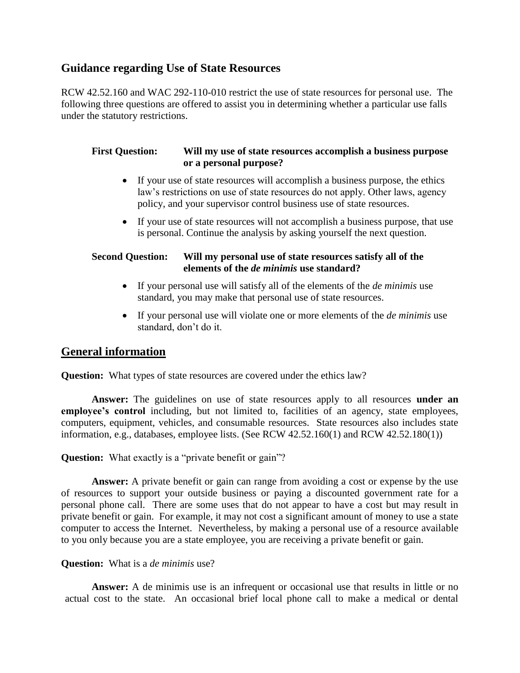# **Guidance regarding Use of State Resources**

RCW 42.52.160 and WAC 292-110-010 restrict the use of state resources for personal use. The following three questions are offered to assist you in determining whether a particular use falls under the statutory restrictions.

#### **First Question: Will my use of state resources accomplish a business purpose or a personal purpose?**

- If your use of state resources will accomplish a business purpose, the ethics law's restrictions on use of state resources do not apply. Other laws, agency policy, and your supervisor control business use of state resources.
- If your use of state resources will not accomplish a business purpose, that use is personal. Continue the analysis by asking yourself the next question.

#### **Second Question: Will my personal use of state resources satisfy all of the elements of the** *de minimis* **use standard?**

- If your personal use will satisfy all of the elements of the *de minimis* use standard, you may make that personal use of state resources.
- If your personal use will violate one or more elements of the *de minimis* use standard, don't do it.

## **General information**

**Question:** What types of state resources are covered under the ethics law?

**Answer:** The guidelines on use of state resources apply to all resources **under an employee's control** including, but not limited to, facilities of an agency, state employees, computers, equipment, vehicles, and consumable resources. State resources also includes state information, e.g., databases, employee lists. (See RCW 42.52.160(1) and RCW 42.52.180(1))

**Question:** What exactly is a "private benefit or gain"?

**Answer:** A private benefit or gain can range from avoiding a cost or expense by the use of resources to support your outside business or paying a discounted government rate for a personal phone call. There are some uses that do not appear to have a cost but may result in private benefit or gain. For example, it may not cost a significant amount of money to use a state computer to access the Internet. Nevertheless, by making a personal use of a resource available to you only because you are a state employee, you are receiving a private benefit or gain.

#### **Question:** What is a *de minimis* use?

**Answer:** A de minimis use is an infrequent or occasional use that results in little or no actual cost to the state. An occasional brief local phone call to make a medical or dental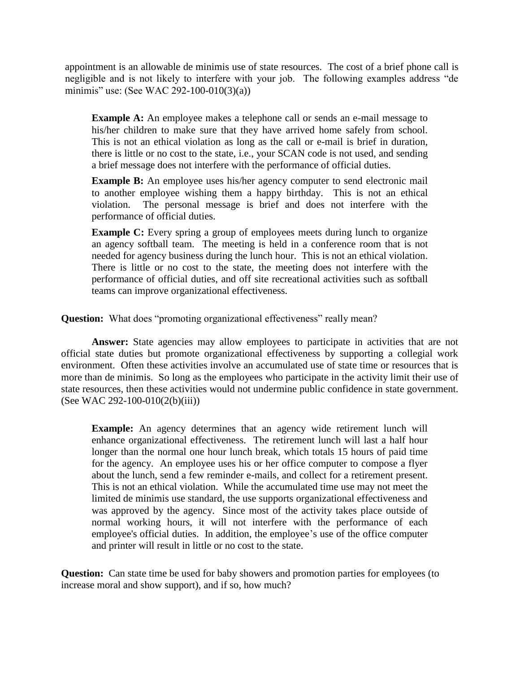appointment is an allowable de minimis use of state resources. The cost of a brief phone call is negligible and is not likely to interfere with your job. The following examples address "de minimis" use: (See WAC 292-100-010(3)(a))

**Example A:** An employee makes a telephone call or sends an e-mail message to his/her children to make sure that they have arrived home safely from school. This is not an ethical violation as long as the call or e-mail is brief in duration, there is little or no cost to the state, i.e., your SCAN code is not used, and sending a brief message does not interfere with the performance of official duties.

**Example B:** An employee uses his/her agency computer to send electronic mail to another employee wishing them a happy birthday. This is not an ethical violation. The personal message is brief and does not interfere with the performance of official duties.

**Example C:** Every spring a group of employees meets during lunch to organize an agency softball team. The meeting is held in a conference room that is not needed for agency business during the lunch hour. This is not an ethical violation. There is little or no cost to the state, the meeting does not interfere with the performance of official duties, and off site recreational activities such as softball teams can improve organizational effectiveness.

**Question:** What does "promoting organizational effectiveness" really mean?

Answer: State agencies may allow employees to participate in activities that are not official state duties but promote organizational effectiveness by supporting a collegial work environment. Often these activities involve an accumulated use of state time or resources that is more than de minimis. So long as the employees who participate in the activity limit their use of state resources, then these activities would not undermine public confidence in state government. (See WAC 292-100-010(2(b)(iii))

**Example:** An agency determines that an agency wide retirement lunch will enhance organizational effectiveness. The retirement lunch will last a half hour longer than the normal one hour lunch break, which totals 15 hours of paid time for the agency. An employee uses his or her office computer to compose a flyer about the lunch, send a few reminder e-mails, and collect for a retirement present. This is not an ethical violation. While the accumulated time use may not meet the limited de minimis use standard, the use supports organizational effectiveness and was approved by the agency. Since most of the activity takes place outside of normal working hours, it will not interfere with the performance of each employee's official duties. In addition, the employee's use of the office computer and printer will result in little or no cost to the state.

**Question:** Can state time be used for baby showers and promotion parties for employees (to increase moral and show support), and if so, how much?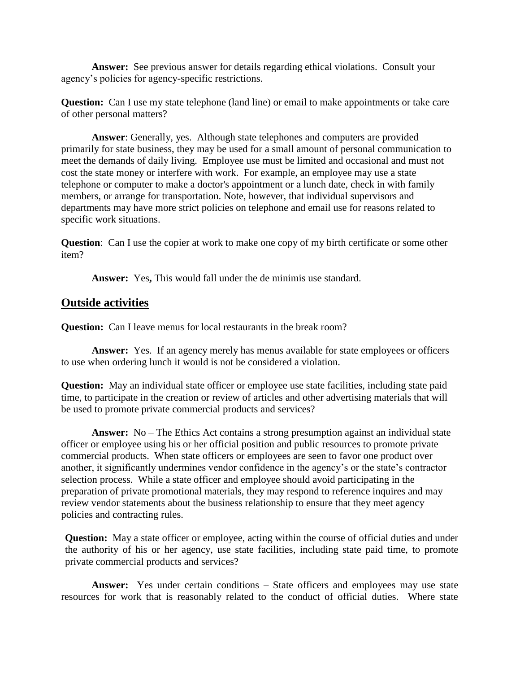**Answer:** See previous answer for details regarding ethical violations. Consult your agency's policies for agency-specific restrictions.

**Question:** Can I use my state telephone (land line) or email to make appointments or take care of other personal matters?

**Answer**: Generally, yes. Although state telephones and computers are provided primarily for state business, they may be used for a small amount of personal communication to meet the demands of daily living. Employee use must be limited and occasional and must not cost the state money or interfere with work. For example, an employee may use a state telephone or computer to make a doctor's appointment or a lunch date, check in with family members, or arrange for transportation. Note, however, that individual supervisors and departments may have more strict policies on telephone and email use for reasons related to specific work situations.

**Question**: Can I use the copier at work to make one copy of my birth certificate or some other item?

Answer: Yes, This would fall under the de minimis use standard.

## **Outside activities**

**Question:** Can I leave menus for local restaurants in the break room?

Answer: Yes. If an agency merely has menus available for state employees or officers to use when ordering lunch it would is not be considered a violation.

**Question:** May an individual state officer or employee use state facilities, including state paid time, to participate in the creation or review of articles and other advertising materials that will be used to promote private commercial products and services?

**Answer:** No – The Ethics Act contains a strong presumption against an individual state officer or employee using his or her official position and public resources to promote private commercial products. When state officers or employees are seen to favor one product over another, it significantly undermines vendor confidence in the agency's or the state's contractor selection process. While a state officer and employee should avoid participating in the preparation of private promotional materials, they may respond to reference inquires and may review vendor statements about the business relationship to ensure that they meet agency policies and contracting rules.

**Question:** May a state officer or employee, acting within the course of official duties and under the authority of his or her agency, use state facilities, including state paid time, to promote private commercial products and services?

**Answer:** Yes under certain conditions – State officers and employees may use state resources for work that is reasonably related to the conduct of official duties. Where state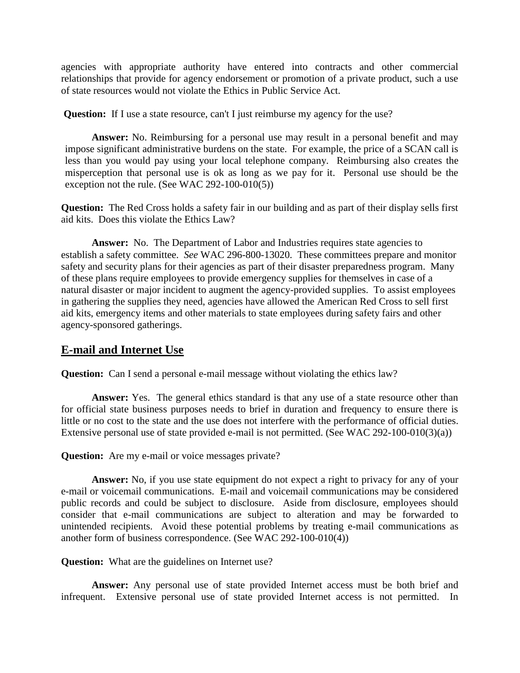agencies with appropriate authority have entered into contracts and other commercial relationships that provide for agency endorsement or promotion of a private product, such a use of state resources would not violate the Ethics in Public Service Act.

**Question:** If I use a state resource, can't I just reimburse my agency for the use?

**Answer:** No. Reimbursing for a personal use may result in a personal benefit and may impose significant administrative burdens on the state. For example, the price of a SCAN call is less than you would pay using your local telephone company. Reimbursing also creates the misperception that personal use is ok as long as we pay for it. Personal use should be the exception not the rule. (See WAC 292-100-010(5))

**Question:** The Red Cross holds a safety fair in our building and as part of their display sells first aid kits. Does this violate the Ethics Law?

Answer: No. The Department of Labor and Industries requires state agencies to establish a safety committee. *See* WAC 296-800-13020. These committees prepare and monitor safety and security plans for their agencies as part of their disaster preparedness program. Many of these plans require employees to provide emergency supplies for themselves in case of a natural disaster or major incident to augment the agency-provided supplies. To assist employees in gathering the supplies they need, agencies have allowed the American Red Cross to sell first aid kits, emergency items and other materials to state employees during safety fairs and other agency-sponsored gatherings.

# **E-mail and Internet Use**

**Question:** Can I send a personal e-mail message without violating the ethics law?

**Answer:** Yes. The general ethics standard is that any use of a state resource other than for official state business purposes needs to brief in duration and frequency to ensure there is little or no cost to the state and the use does not interfere with the performance of official duties. Extensive personal use of state provided e-mail is not permitted. (See WAC 292-100-010(3)(a))

**Question:** Are my e-mail or voice messages private?

**Answer:** No, if you use state equipment do not expect a right to privacy for any of your e-mail or voicemail communications. E-mail and voicemail communications may be considered public records and could be subject to disclosure. Aside from disclosure, employees should consider that e-mail communications are subject to alteration and may be forwarded to unintended recipients. Avoid these potential problems by treating e-mail communications as another form of business correspondence. (See WAC 292-100-010(4))

**Question:** What are the guidelines on Internet use?

**Answer:** Any personal use of state provided Internet access must be both brief and infrequent. Extensive personal use of state provided Internet access is not permitted. In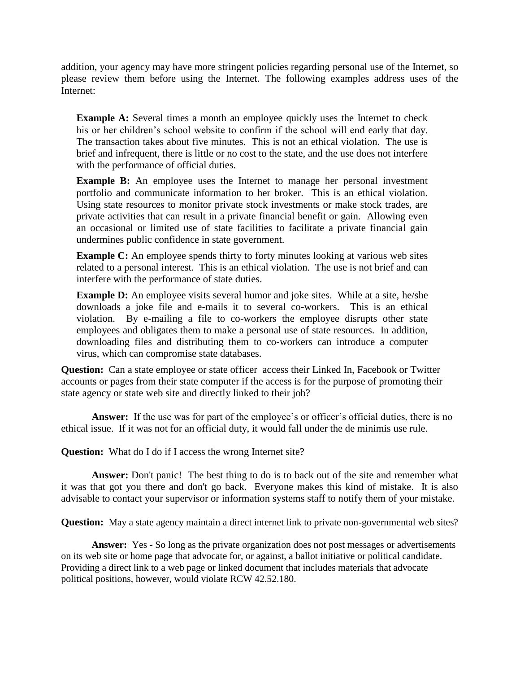addition, your agency may have more stringent policies regarding personal use of the Internet, so please review them before using the Internet. The following examples address uses of the Internet:

**Example A:** Several times a month an employee quickly uses the Internet to check his or her children's school website to confirm if the school will end early that day. The transaction takes about five minutes. This is not an ethical violation. The use is brief and infrequent, there is little or no cost to the state, and the use does not interfere with the performance of official duties.

**Example B:** An employee uses the Internet to manage her personal investment portfolio and communicate information to her broker. This is an ethical violation. Using state resources to monitor private stock investments or make stock trades, are private activities that can result in a private financial benefit or gain. Allowing even an occasional or limited use of state facilities to facilitate a private financial gain undermines public confidence in state government.

**Example C:** An employee spends thirty to forty minutes looking at various web sites related to a personal interest. This is an ethical violation. The use is not brief and can interfere with the performance of state duties.

**Example D:** An employee visits several humor and joke sites. While at a site, he/she downloads a joke file and e-mails it to several co-workers. This is an ethical violation. By e-mailing a file to co-workers the employee disrupts other state employees and obligates them to make a personal use of state resources. In addition, downloading files and distributing them to co-workers can introduce a computer virus, which can compromise state databases.

**Question:** Can a state employee or state officer access their Linked In, Facebook or Twitter accounts or pages from their state computer if the access is for the purpose of promoting their state agency or state web site and directly linked to their job?

Answer: If the use was for part of the employee's or officer's official duties, there is no ethical issue. If it was not for an official duty, it would fall under the de minimis use rule.

**Question:** What do I do if I access the wrong Internet site?

**Answer:** Don't panic! The best thing to do is to back out of the site and remember what it was that got you there and don't go back. Everyone makes this kind of mistake. It is also advisable to contact your supervisor or information systems staff to notify them of your mistake.

**Question:** May a state agency maintain a direct internet link to private non-governmental web sites?

**Answer:** Yes - So long as the private organization does not post messages or advertisements on its web site or home page that advocate for, or against, a ballot initiative or political candidate. Providing a direct link to a web page or linked document that includes materials that advocate political positions, however, would violate RCW 42.52.180.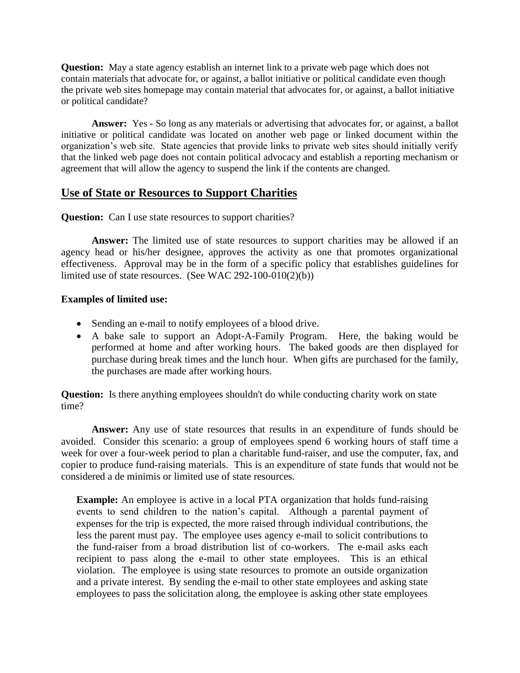**Question:** May a state agency establish an internet link to a private web page which does not contain materials that advocate for, or against, a ballot initiative or political candidate even though the private web sites homepage may contain material that advocates for, or against, a ballot initiative or political candidate?

**Answer:** Yes - So long as any materials or advertising that advocates for, or against, a ballot initiative or political candidate was located on another web page or linked document within the organization's web site. State agencies that provide links to private web sites should initially verify that the linked web page does not contain political advocacy and establish a reporting mechanism or agreement that will allow the agency to suspend the link if the contents are changed.

# **Use of State or Resources to Support Charities**

**Question:** Can I use state resources to support charities?

**Answer:** The limited use of state resources to support charities may be allowed if an agency head or his/her designee, approves the activity as one that promotes organizational effectiveness. Approval may be in the form of a specific policy that establishes guidelines for limited use of state resources. (See WAC 292-100-010(2)(b))

#### **Examples of limited use:**

- Sending an e-mail to notify employees of a blood drive.
- A bake sale to support an Adopt-A-Family Program. Here, the baking would be performed at home and after working hours. The baked goods are then displayed for purchase during break times and the lunch hour. When gifts are purchased for the family, the purchases are made after working hours.

**Question:** Is there anything employees shouldn't do while conducting charity work on state time?

**Answer:** Any use of state resources that results in an expenditure of funds should be avoided. Consider this scenario: a group of employees spend 6 working hours of staff time a week for over a four-week period to plan a charitable fund-raiser, and use the computer, fax, and copier to produce fund-raising materials. This is an expenditure of state funds that would not be considered a de minimis or limited use of state resources.

**Example:** An employee is active in a local PTA organization that holds fund-raising events to send children to the nation's capital. Although a parental payment of expenses for the trip is expected, the more raised through individual contributions, the less the parent must pay. The employee uses agency e-mail to solicit contributions to the fund-raiser from a broad distribution list of co-workers. The e-mail asks each recipient to pass along the e-mail to other state employees. This is an ethical violation. The employee is using state resources to promote an outside organization and a private interest. By sending the e-mail to other state employees and asking state employees to pass the solicitation along, the employee is asking other state employees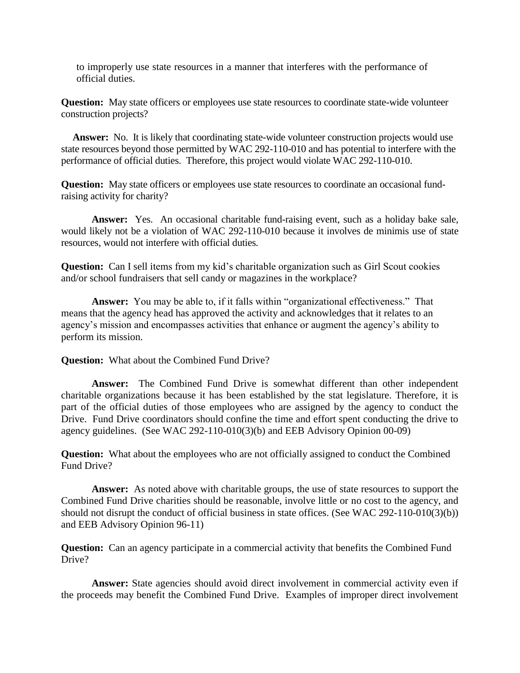to improperly use state resources in a manner that interferes with the performance of official duties.

**Question:** May state officers or employees use state resources to coordinate state-wide volunteer construction projects?

**Answer:** No. It is likely that coordinating state-wide volunteer construction projects would use state resources beyond those permitted by WAC 292-110-010 and has potential to interfere with the performance of official duties. Therefore, this project would violate WAC 292-110-010.

**Question:** May state officers or employees use state resources to coordinate an occasional fundraising activity for charity?

**Answer:** Yes. An occasional charitable fund-raising event, such as a holiday bake sale, would likely not be a violation of WAC 292-110-010 because it involves de minimis use of state resources, would not interfere with official duties.

**Question:** Can I sell items from my kid's charitable organization such as Girl Scout cookies and/or school fundraisers that sell candy or magazines in the workplace?

**Answer:** You may be able to, if it falls within "organizational effectiveness." That means that the agency head has approved the activity and acknowledges that it relates to an agency's mission and encompasses activities that enhance or augment the agency's ability to perform its mission.

**Question:** What about the Combined Fund Drive?

**Answer:** The Combined Fund Drive is somewhat different than other independent charitable organizations because it has been established by the stat legislature. Therefore, it is part of the official duties of those employees who are assigned by the agency to conduct the Drive. Fund Drive coordinators should confine the time and effort spent conducting the drive to agency guidelines. (See WAC 292-110-010(3)(b) and EEB Advisory Opinion 00-09)

**Question:** What about the employees who are not officially assigned to conduct the Combined Fund Drive?

**Answer:** As noted above with charitable groups, the use of state resources to support the Combined Fund Drive charities should be reasonable, involve little or no cost to the agency, and should not disrupt the conduct of official business in state offices. (See WAC 292-110-010(3)(b)) and EEB Advisory Opinion 96-11)

**Question:** Can an agency participate in a commercial activity that benefits the Combined Fund Drive?

**Answer:** State agencies should avoid direct involvement in commercial activity even if the proceeds may benefit the Combined Fund Drive. Examples of improper direct involvement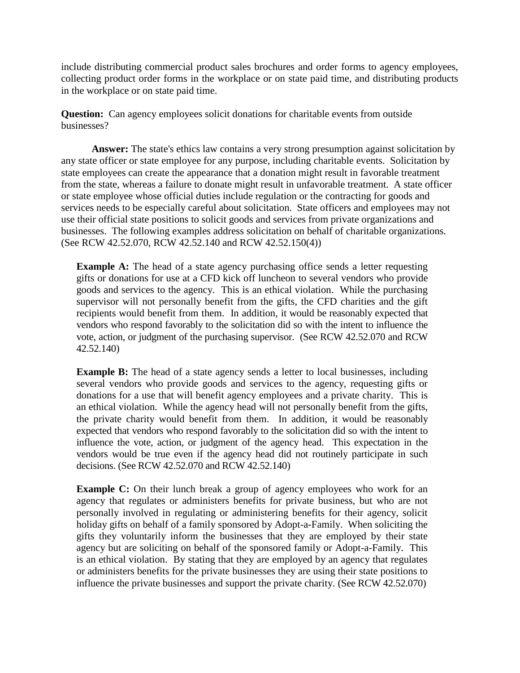include distributing commercial product sales brochures and order forms to agency employees, collecting product order forms in the workplace or on state paid time, and distributing products in the workplace or on state paid time.

**Question:** Can agency employees solicit donations for charitable events from outside businesses?

**Answer:** The state's ethics law contains a very strong presumption against solicitation by any state officer or state employee for any purpose, including charitable events. Solicitation by state employees can create the appearance that a donation might result in favorable treatment from the state, whereas a failure to donate might result in unfavorable treatment. A state officer or state employee whose official duties include regulation or the contracting for goods and services needs to be especially careful about solicitation. State officers and employees may not use their official state positions to solicit goods and services from private organizations and businesses. The following examples address solicitation on behalf of charitable organizations. (See RCW 42.52.070, RCW 42.52.140 and RCW 42.52.150(4))

**Example A:** The head of a state agency purchasing office sends a letter requesting gifts or donations for use at a CFD kick off luncheon to several vendors who provide goods and services to the agency. This is an ethical violation. While the purchasing supervisor will not personally benefit from the gifts, the CFD charities and the gift recipients would benefit from them. In addition, it would be reasonably expected that vendors who respond favorably to the solicitation did so with the intent to influence the vote, action, or judgment of the purchasing supervisor. (See RCW 42.52.070 and RCW 42.52.140)

**Example B:** The head of a state agency sends a letter to local businesses, including several vendors who provide goods and services to the agency, requesting gifts or donations for a use that will benefit agency employees and a private charity. This is an ethical violation. While the agency head will not personally benefit from the gifts, the private charity would benefit from them. In addition, it would be reasonably expected that vendors who respond favorably to the solicitation did so with the intent to influence the vote, action, or judgment of the agency head. This expectation in the vendors would be true even if the agency head did not routinely participate in such decisions. (See RCW 42.52.070 and RCW 42.52.140)

**Example C:** On their lunch break a group of agency employees who work for an agency that regulates or administers benefits for private business, but who are not personally involved in regulating or administering benefits for their agency, solicit holiday gifts on behalf of a family sponsored by Adopt-a-Family. When soliciting the gifts they voluntarily inform the businesses that they are employed by their state agency but are soliciting on behalf of the sponsored family or Adopt-a-Family. This is an ethical violation. By stating that they are employed by an agency that regulates or administers benefits for the private businesses they are using their state positions to influence the private businesses and support the private charity. (See RCW 42.52.070)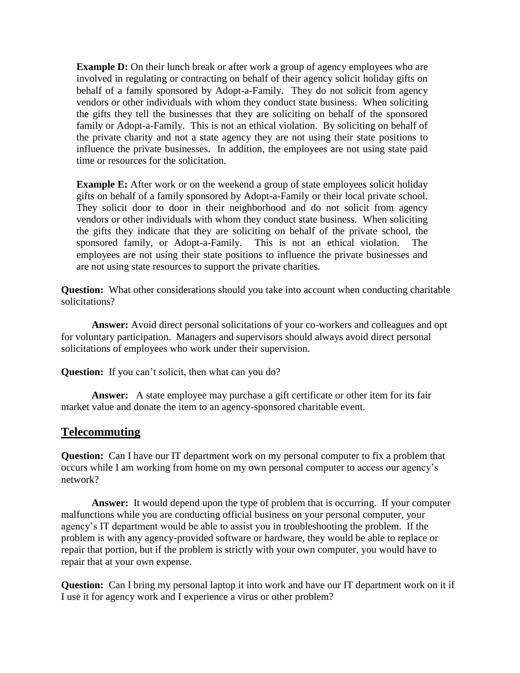**Example D:** On their lunch break or after work a group of agency employees who are involved in regulating or contracting on behalf of their agency solicit holiday gifts on behalf of a family sponsored by Adopt-a-Family. They do not solicit from agency vendors or other individuals with whom they conduct state business. When soliciting the gifts they tell the businesses that they are soliciting on behalf of the sponsored family or Adopt-a-Family. This is not an ethical violation. By soliciting on behalf of the private charity and not a state agency they are not using their state positions to influence the private businesses. In addition, the employees are not using state paid time or resources for the solicitation.

**Example E:** After work or on the weekend a group of state employees solicit holiday gifts on behalf of a family sponsored by Adopt-a-Family or their local private school. They solicit door to door in their neighborhood and do not solicit from agency vendors or other individuals with whom they conduct state business. When soliciting the gifts they indicate that they are soliciting on behalf of the private school, the sponsored family, or Adopt-a-Family. This is not an ethical violation. The employees are not using their state positions to influence the private businesses and are not using state resources to support the private charities.

**Question:** What other considerations should you take into account when conducting charitable solicitations?

**Answer:** Avoid direct personal solicitations of your co-workers and colleagues and opt for voluntary participation. Managers and supervisors should always avoid direct personal solicitations of employees who work under their supervision.

**Question:** If you can't solicit, then what can you do?

**Answer:** A state employee may purchase a gift certificate or other item for its fair market value and donate the item to an agency-sponsored charitable event.

#### **Telecommuting**

**Question:** Can I have our IT department work on my personal computer to fix a problem that occurs while I am working from home on my own personal computer to access our agency's network?

**Answer:** It would depend upon the type of problem that is occurring. If your computer malfunctions while you are conducting official business on your personal computer, your agency's IT department would be able to assist you in troubleshooting the problem. If the problem is with any agency-provided software or hardware, they would be able to replace or repair that portion, but if the problem is strictly with your own computer, you would have to repair that at your own expense.

**Question:** Can I bring my personal laptop it into work and have our IT department work on it if I use it for agency work and I experience a virus or other problem?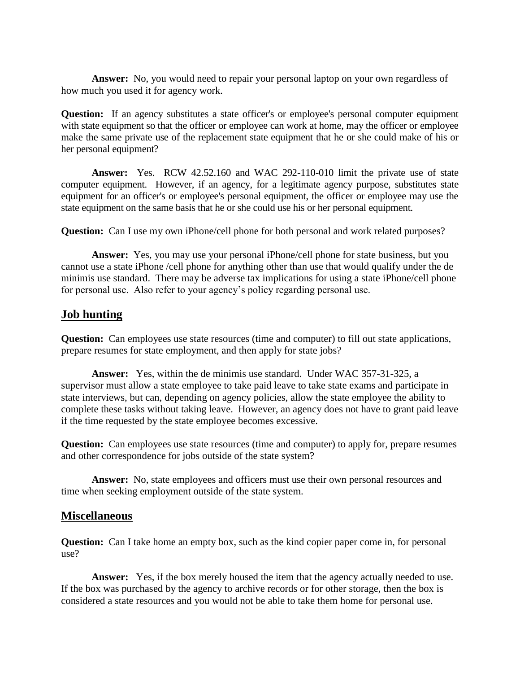**Answer:** No, you would need to repair your personal laptop on your own regardless of how much you used it for agency work.

**Question:** If an agency substitutes a state officer's or employee's personal computer equipment with state equipment so that the officer or employee can work at home, may the officer or employee make the same private use of the replacement state equipment that he or she could make of his or her personal equipment?

**Answer:** Yes. RCW 42.52.160 and WAC 292-110-010 limit the private use of state computer equipment. However, if an agency, for a legitimate agency purpose, substitutes state equipment for an officer's or employee's personal equipment, the officer or employee may use the state equipment on the same basis that he or she could use his or her personal equipment.

**Question:** Can I use my own iPhone/cell phone for both personal and work related purposes?

**Answer:** Yes, you may use your personal iPhone/cell phone for state business, but you cannot use a state iPhone /cell phone for anything other than use that would qualify under the de minimis use standard. There may be adverse tax implications for using a state iPhone/cell phone for personal use. Also refer to your agency's policy regarding personal use.

# **Job hunting**

**Question:** Can employees use state resources (time and computer) to fill out state applications, prepare resumes for state employment, and then apply for state jobs?

**Answer:** Yes, within the de minimis use standard. Under WAC 357-31-325, a supervisor must allow a state employee to take paid leave to take state exams and participate in state interviews, but can, depending on agency policies, allow the state employee the ability to complete these tasks without taking leave. However, an agency does not have to grant paid leave if the time requested by the state employee becomes excessive.

**Question:** Can employees use state resources (time and computer) to apply for, prepare resumes and other correspondence for jobs outside of the state system?

**Answer:** No, state employees and officers must use their own personal resources and time when seeking employment outside of the state system.

## **Miscellaneous**

**Question:** Can I take home an empty box, such as the kind copier paper come in, for personal use?

**Answer:** Yes, if the box merely housed the item that the agency actually needed to use. If the box was purchased by the agency to archive records or for other storage, then the box is considered a state resources and you would not be able to take them home for personal use.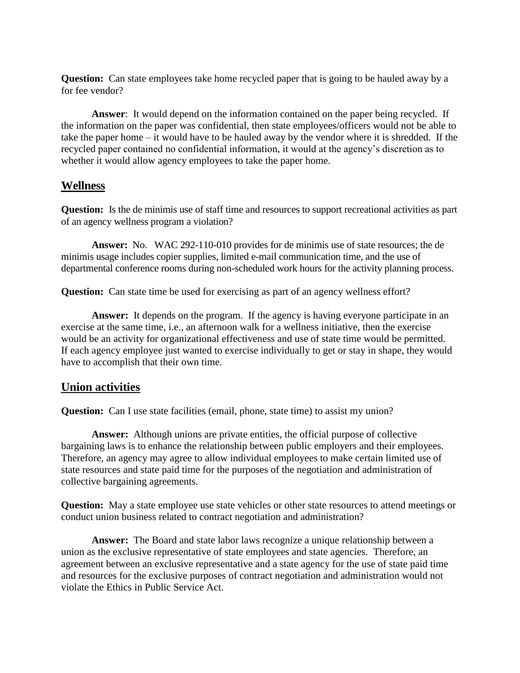**Question:** Can state employees take home recycled paper that is going to be hauled away by a for fee vendor?

**Answer**: It would depend on the information contained on the paper being recycled. If the information on the paper was confidential, then state employees/officers would not be able to take the paper home – it would have to be hauled away by the vendor where it is shredded. If the recycled paper contained no confidential information, it would at the agency's discretion as to whether it would allow agency employees to take the paper home.

## **Wellness**

**Question:** Is the de minimis use of staff time and resources to support recreational activities as part of an agency wellness program a violation?

**Answer:** No. WAC 292-110-010 provides for de minimis use of state resources; the de minimis usage includes copier supplies, limited e-mail communication time, and the use of departmental conference rooms during non-scheduled work hours for the activity planning process.

**Question:** Can state time be used for exercising as part of an agency wellness effort?

**Answer:** It depends on the program. If the agency is having everyone participate in an exercise at the same time, i.e., an afternoon walk for a wellness initiative, then the exercise would be an activity for organizational effectiveness and use of state time would be permitted. If each agency employee just wanted to exercise individually to get or stay in shape, they would have to accomplish that their own time.

#### **Union activities**

**Question:** Can I use state facilities (email, phone, state time) to assist my union?

**Answer:** Although unions are private entities, the official purpose of collective bargaining laws is to enhance the relationship between public employers and their employees. Therefore, an agency may agree to allow individual employees to make certain limited use of state resources and state paid time for the purposes of the negotiation and administration of collective bargaining agreements.

**Question:** May a state employee use state vehicles or other state resources to attend meetings or conduct union business related to contract negotiation and administration?

**Answer:** The Board and state labor laws recognize a unique relationship between a union as the exclusive representative of state employees and state agencies. Therefore, an agreement between an exclusive representative and a state agency for the use of state paid time and resources for the exclusive purposes of contract negotiation and administration would not violate the Ethics in Public Service Act.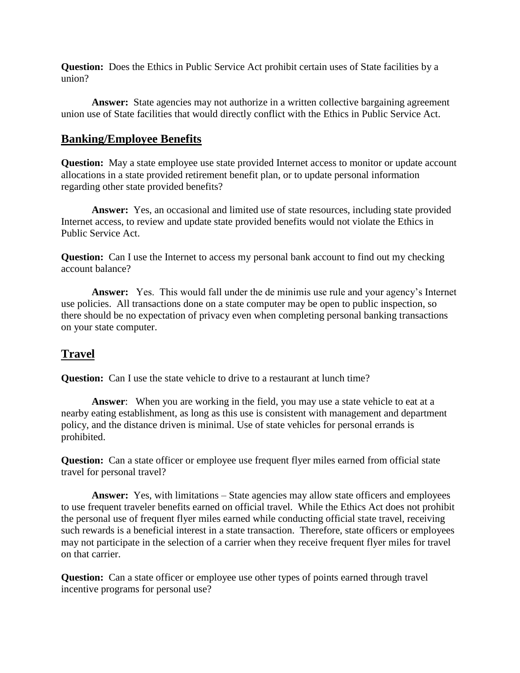**Question:** Does the Ethics in Public Service Act prohibit certain uses of State facilities by a union?

Answer: State agencies may not authorize in a written collective bargaining agreement union use of State facilities that would directly conflict with the Ethics in Public Service Act.

## **Banking/Employee Benefits**

**Question:** May a state employee use state provided Internet access to monitor or update account allocations in a state provided retirement benefit plan, or to update personal information regarding other state provided benefits?

**Answer:** Yes, an occasional and limited use of state resources, including state provided Internet access, to review and update state provided benefits would not violate the Ethics in Public Service Act.

**Question:** Can I use the Internet to access my personal bank account to find out my checking account balance?

**Answer:** Yes. This would fall under the de minimis use rule and your agency's Internet use policies. All transactions done on a state computer may be open to public inspection, so there should be no expectation of privacy even when completing personal banking transactions on your state computer.

# **Travel**

**Question:** Can I use the state vehicle to drive to a restaurant at lunch time?

**Answer**: When you are working in the field, you may use a state vehicle to eat at a nearby eating establishment, as long as this use is consistent with management and department policy, and the distance driven is minimal. Use of state vehicles for personal errands is prohibited.

**Question:** Can a state officer or employee use frequent flyer miles earned from official state travel for personal travel?

**Answer:** Yes, with limitations – State agencies may allow state officers and employees to use frequent traveler benefits earned on official travel.While the Ethics Act does not prohibit the personal use of frequent flyer miles earned while conducting official state travel, receiving such rewards is a beneficial interest in a state transaction. Therefore, state officers or employees may not participate in the selection of a carrier when they receive frequent flyer miles for travel on that carrier.

**Question:** Can a state officer or employee use other types of points earned through travel incentive programs for personal use?